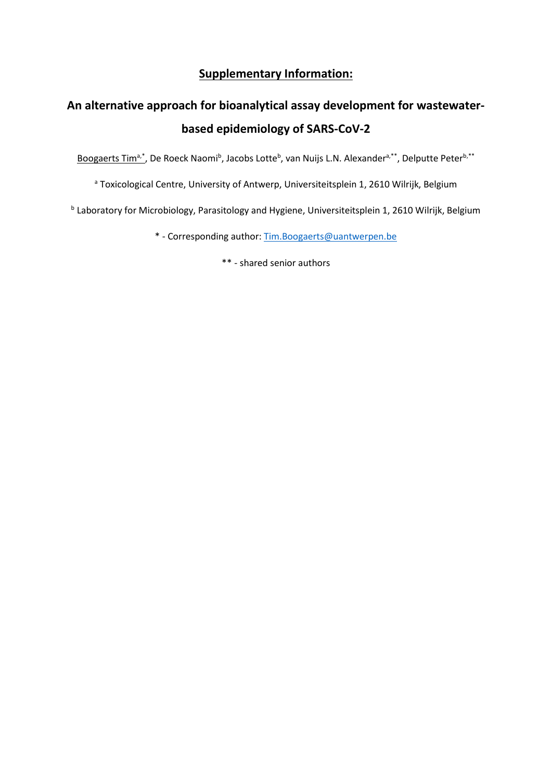## **Supplementary Information:**

# **An alternative approach for bioanalytical assay development for wastewaterbased epidemiology of SARS-CoV-2**

Boogaerts Tim<sup>a,\*</sup>, De Roeck Naomi<sup>b</sup>, Jacobs Lotte<sup>b</sup>, van Nuijs L.N. Alexander<sup>a,\*\*</sup>, Delputte Peter<sup>b,\*\*</sup>

a Toxicological Centre, University of Antwerp, Universiteitsplein 1, 2610 Wilrijk, Belgium

<sup>b</sup> Laboratory for Microbiology, Parasitology and Hygiene, Universiteitsplein 1, 2610 Wilrijk, Belgium

\* - Corresponding author: [Tim.Boogaerts@uantwerpen.be](mailto:Tim.Boogaerts@uantwerpen.be)

\*\* - shared senior authors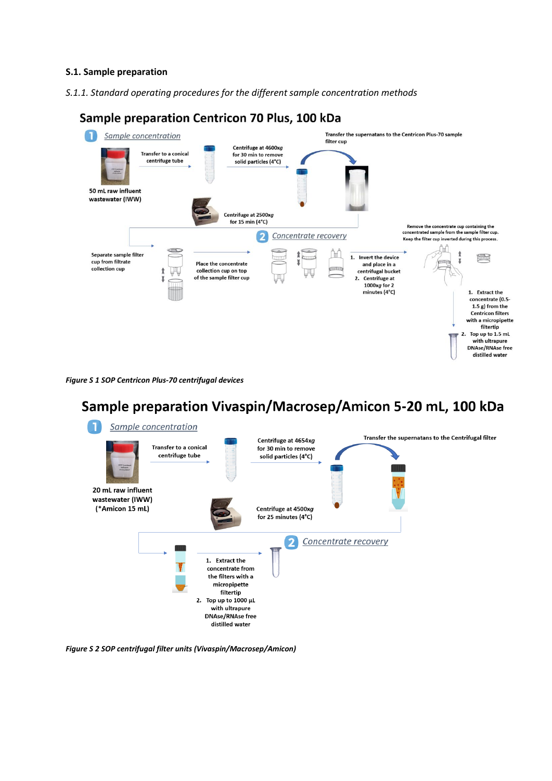### **S.1. Sample preparation**

*S.1.1. Standard operating procedures for the different sample concentration methods*





*Figure S 1 SOP Centricon Plus-70 centrifugal devices*

# Sample preparation Vivaspin/Macrosep/Amicon 5-20 mL, 100 kDa



*Figure S 2 SOP centrifugal filter units (Vivaspin/Macrosep/Amicon)*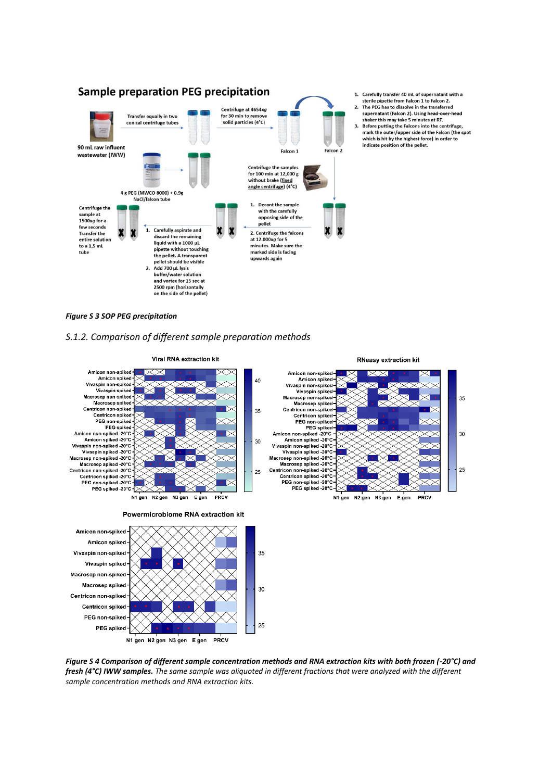



- The PEG has to dissolve in the transferred
- supernatant (Falcon 2). Using head-over-head superintially ration 27. Osing nead-over-nead<br>shaker this may take 5 minutes at RT.<br>3. Before putting the Falcons into the centrifuge,
- mark the outer/upper side of the Falcon (the spot<br>which is hit by the highest force) in order to indicate position of the pellet.

#### *Figure S 3 SOP PEG precipitation*

#### *S.1.2. Comparison of different sample preparation methods*



*Figure S 4 Comparison of different sample concentration methods and RNA extraction kits with both frozen (-20°C) and fresh (4°C) IWW samples. The same sample was aliquoted in different fractions that were analyzed with the different sample concentration methods and RNA extraction kits.*